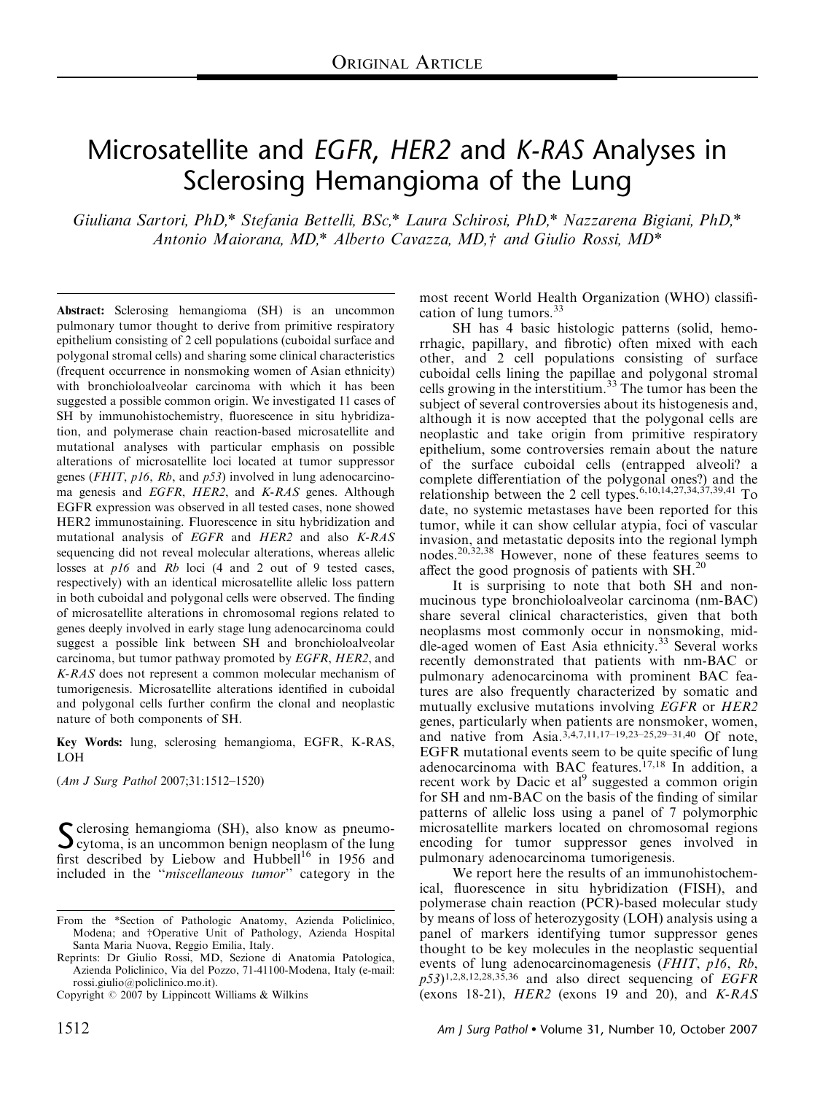# Microsatellite and EGFR, HER2 and K-RAS Analyses in Sclerosing Hemangioma of the Lung

Giuliana Sartori, PhD,\* Stefania Bettelli, BSc,\* Laura Schirosi, PhD,\* Nazzarena Bigiani, PhD,\* Antonio Maiorana, MD,\* Alberto Cavazza, MD,† and Giulio Rossi, MD\*

Abstract: Sclerosing hemangioma (SH) is an uncommon pulmonary tumor thought to derive from primitive respiratory epithelium consisting of 2 cell populations (cuboidal surface and polygonal stromal cells) and sharing some clinical characteristics (frequent occurrence in nonsmoking women of Asian ethnicity) with bronchioloalveolar carcinoma with which it has been suggested a possible common origin. We investigated 11 cases of SH by immunohistochemistry, fluorescence in situ hybridization, and polymerase chain reaction-based microsatellite and mutational analyses with particular emphasis on possible alterations of microsatellite loci located at tumor suppressor genes (FHIT, p16, Rb, and p53) involved in lung adenocarcinoma genesis and EGFR, HER2, and K-RAS genes. Although EGFR expression was observed in all tested cases, none showed HER2 immunostaining. Fluorescence in situ hybridization and mutational analysis of EGFR and HER2 and also K-RAS sequencing did not reveal molecular alterations, whereas allelic losses at p16 and Rb loci (4 and 2 out of 9 tested cases, respectively) with an identical microsatellite allelic loss pattern in both cuboidal and polygonal cells were observed. The finding of microsatellite alterations in chromosomal regions related to genes deeply involved in early stage lung adenocarcinoma could suggest a possible link between SH and bronchioloalveolar carcinoma, but tumor pathway promoted by EGFR, HER2, and K-RAS does not represent a common molecular mechanism of tumorigenesis. Microsatellite alterations identified in cuboidal and polygonal cells further confirm the clonal and neoplastic nature of both components of SH.

Key Words: lung, sclerosing hemangioma, EGFR, K-RAS, LOH

(Am J Surg Pathol 2007;31:1512–1520)

 $\sum$  clerosing hemangioma (SH), also know as pneumo-<br>cytoma, is an uncommon benign neoplasm of the lung<br>for the lung state of the Linkary and Helderline in 1956 and first described by Liebow and  $\text{Hubbell}^{16}$  in 1956 and included in the ''miscellaneous tumor'' category in the

most recent World Health Organization (WHO) classification of lung tumors.<sup>33</sup>

SH has 4 basic histologic patterns (solid, hemorrhagic, papillary, and fibrotic) often mixed with each other, and 2 cell populations consisting of surface cuboidal cells lining the papillae and polygonal stromal cells growing in the interstitium.<sup>33</sup> The tumor has been the subject of several controversies about its histogenesis and, although it is now accepted that the polygonal cells are neoplastic and take origin from primitive respiratory epithelium, some controversies remain about the nature of the surface cuboidal cells (entrapped alveoli? a complete differentiation of the polygonal ones?) and the relationship between the 2 cell types.<sup>6,10,14,27,34,37,39,41</sup> To date, no systemic metastases have been reported for this tumor, while it can show cellular atypia, foci of vascular invasion, and metastatic deposits into the regional lymph nodes.20,32,38 However, none of these features seems to affect the good prognosis of patients with SH.<sup>20</sup>

It is surprising to note that both SH and nonmucinous type bronchioloalveolar carcinoma (nm-BAC) share several clinical characteristics, given that both neoplasms most commonly occur in nonsmoking, middle-aged women of East Asia ethnicity.<sup>33</sup> Several works recently demonstrated that patients with nm-BAC or pulmonary adenocarcinoma with prominent BAC features are also frequently characterized by somatic and mutually exclusive mutations involving *EGFR* or *HER2* genes, particularly when patients are nonsmoker, women, and native from Asia.<sup>3,4,7,11,17–19,23–25,29–31,40</sup> Of note, EGFR mutational events seem to be quite specific of lung adenocarcinoma with BAC features.<sup>17,18</sup> In addition, a recent work by Dacic et al<sup>9</sup> suggested a common origin for SH and nm-BAC on the basis of the finding of similar patterns of allelic loss using a panel of 7 polymorphic microsatellite markers located on chromosomal regions encoding for tumor suppressor genes involved in pulmonary adenocarcinoma tumorigenesis.

We report here the results of an immunohistochemical, fluorescence in situ hybridization (FISH), and polymerase chain reaction (PCR)-based molecular study by means of loss of heterozygosity (LOH) analysis using a panel of markers identifying tumor suppressor genes thought to be key molecules in the neoplastic sequential events of lung adenocarcinomagenesis (FHIT, p16, Rb,  $p53$ <sup>1,2,8,12,28,35,36</sup> and also direct sequencing of EGFR Copyright  $\odot$  2007 by Lippincott Williams & Wilkins (exons 18-21), HER2 (exons 19 and 20), and K-RAS

From the \*Section of Pathologic Anatomy, Azienda Policlinico, Modena; and †Operative Unit of Pathology, Azienda Hospital Santa Maria Nuova, Reggio Emilia, Italy.

Reprints: Dr Giulio Rossi, MD, Sezione di Anatomia Patologica, Azienda Policlinico, Via del Pozzo, 71-41100-Modena, Italy (e-mail: rossi.giulio@policlinico.mo.it).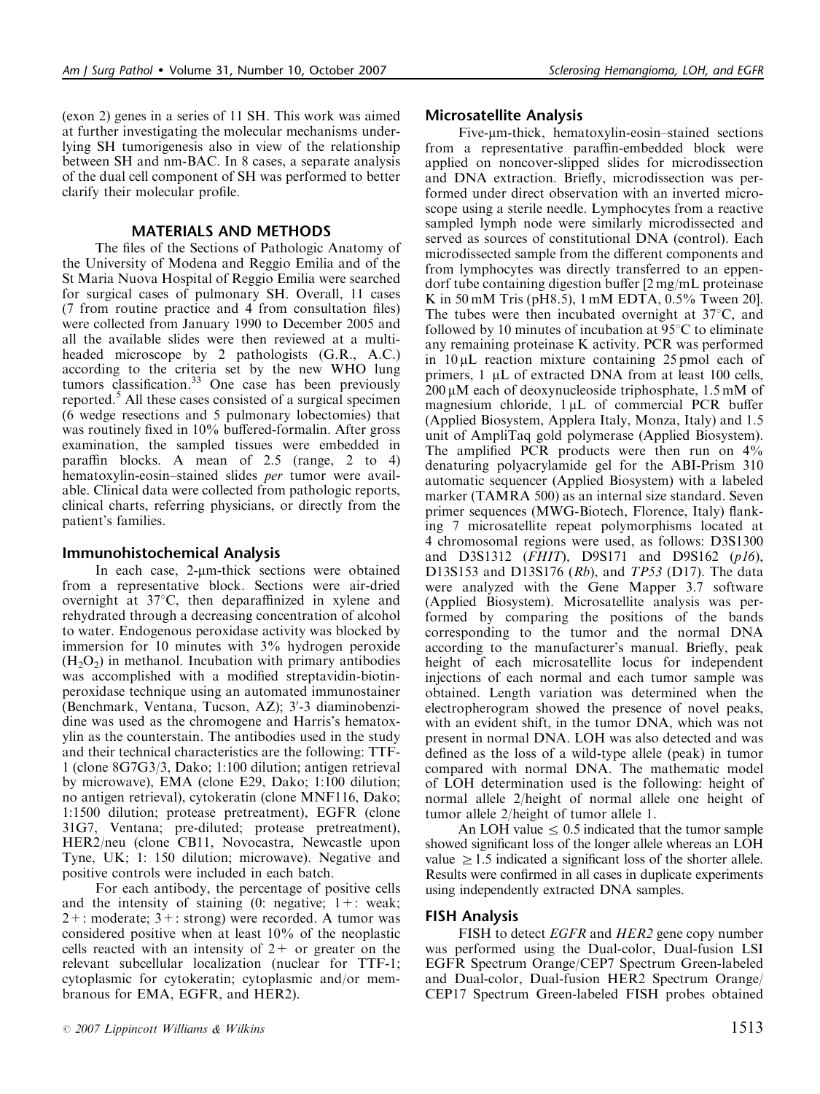(exon 2) genes in a series of 11 SH. This work was aimed at further investigating the molecular mechanisms underlying SH tumorigenesis also in view of the relationship between SH and nm-BAC. In 8 cases, a separate analysis of the dual cell component of SH was performed to better clarify their molecular profile.

#### MATERIALS AND METHODS

The files of the Sections of Pathologic Anatomy of the University of Modena and Reggio Emilia and of the St Maria Nuova Hospital of Reggio Emilia were searched for surgical cases of pulmonary SH. Overall, 11 cases (7 from routine practice and 4 from consultation files) were collected from January 1990 to December 2005 and all the available slides were then reviewed at a multiheaded microscope by 2 pathologists (G.R., A.C.) according to the criteria set by the new WHO lung tumors classification.<sup>33</sup> One case has been previously reported.<sup>5</sup> All these cases consisted of a surgical specimen (6 wedge resections and 5 pulmonary lobectomies) that was routinely fixed in 10% buffered-formalin. After gross examination, the sampled tissues were embedded in paraffin blocks. A mean of 2.5 (range, 2 to 4) hematoxylin-eosin–stained slides per tumor were available. Clinical data were collected from pathologic reports, clinical charts, referring physicians, or directly from the patient's families.

### Immunohistochemical Analysis

In each case, 2-µm-thick sections were obtained from a representative block. Sections were air-dried overnight at  $37^{\circ}$ C, then deparaffinized in xylene and rehydrated through a decreasing concentration of alcohol to water. Endogenous peroxidase activity was blocked by immersion for 10 minutes with 3% hydrogen peroxide  $(H<sub>2</sub>O<sub>2</sub>)$  in methanol. Incubation with primary antibodies was accomplished with a modified streptavidin-biotinperoxidase technique using an automated immunostainer (Benchmark, Ventana, Tucson, AZ); 3'-3 diaminobenzidine was used as the chromogene and Harris's hematoxylin as the counterstain. The antibodies used in the study and their technical characteristics are the following: TTF-1 (clone 8G7G3/3, Dako; 1:100 dilution; antigen retrieval by microwave), EMA (clone E29, Dako; 1:100 dilution; no antigen retrieval), cytokeratin (clone MNF116, Dako; 1:1500 dilution; protease pretreatment), EGFR (clone 31G7, Ventana; pre-diluted; protease pretreatment), HER2/neu (clone CB11, Novocastra, Newcastle upon Tyne, UK; 1: 150 dilution; microwave). Negative and positive controls were included in each batch.

For each antibody, the percentage of positive cells and the intensity of staining  $(0:$  negative;  $1+$ : weak;  $2+$ : moderate;  $3+$ : strong) were recorded. A tumor was considered positive when at least 10% of the neoplastic cells reacted with an intensity of  $2+$  or greater on the relevant subcellular localization (nuclear for TTF-1; cytoplasmic for cytokeratin; cytoplasmic and/or membranous for EMA, EGFR, and HER2).

### Microsatellite Analysis

Five-um-thick, hematoxylin-eosin–stained sections from a representative paraffin-embedded block were applied on noncover-slipped slides for microdissection and DNA extraction. Briefly, microdissection was performed under direct observation with an inverted microscope using a sterile needle. Lymphocytes from a reactive sampled lymph node were similarly microdissected and served as sources of constitutional DNA (control). Each microdissected sample from the different components and from lymphocytes was directly transferred to an eppendorf tube containing digestion buffer [2 mg/mL proteinase K in 50 mM Tris (pH8.5), 1 mM EDTA, 0.5% Tween 20]. The tubes were then incubated overnight at  $37^{\circ}$ C, and followed by 10 minutes of incubation at  $95^{\circ}$ C to eliminate any remaining proteinase K activity. PCR was performed in  $10 \mu L$  reaction mixture containing 25 pmol each of primers,  $1 \mu L$  of extracted DNA from at least 100 cells,  $200 \mu M$  each of deoxynucleoside triphosphate, 1.5 mM of magnesium chloride,  $1 \mu L$  of commercial PCR buffer (Applied Biosystem, Applera Italy, Monza, Italy) and 1.5 unit of AmpliTaq gold polymerase (Applied Biosystem). The amplified PCR products were then run on 4% denaturing polyacrylamide gel for the ABI-Prism 310 automatic sequencer (Applied Biosystem) with a labeled marker (TAMRA 500) as an internal size standard. Seven primer sequences (MWG-Biotech, Florence, Italy) flanking 7 microsatellite repeat polymorphisms located at 4 chromosomal regions were used, as follows: D3S1300 and D3S1312 (*FHIT*), D9S171 and D9S162 ( $p16$ ), D13S153 and D13S176 ( $Rb$ ), and TP53 (D17). The data were analyzed with the Gene Mapper 3.7 software (Applied Biosystem). Microsatellite analysis was performed by comparing the positions of the bands corresponding to the tumor and the normal DNA according to the manufacturer's manual. Briefly, peak height of each microsatellite locus for independent injections of each normal and each tumor sample was obtained. Length variation was determined when the electropherogram showed the presence of novel peaks, with an evident shift, in the tumor DNA, which was not present in normal DNA. LOH was also detected and was defined as the loss of a wild-type allele (peak) in tumor compared with normal DNA. The mathematic model of LOH determination used is the following: height of normal allele 2/height of normal allele one height of tumor allele 2/height of tumor allele 1.

An LOH value  $\leq 0.5$  indicated that the tumor sample showed significant loss of the longer allele whereas an LOH value  $\geq 1.5$  indicated a significant loss of the shorter allele. Results were confirmed in all cases in duplicate experiments using independently extracted DNA samples.

## FISH Analysis

FISH to detect *EGFR* and *HER2* gene copy number was performed using the Dual-color, Dual-fusion LSI EGFR Spectrum Orange/CEP7 Spectrum Green-labeled and Dual-color, Dual-fusion HER2 Spectrum Orange/ CEP17 Spectrum Green-labeled FISH probes obtained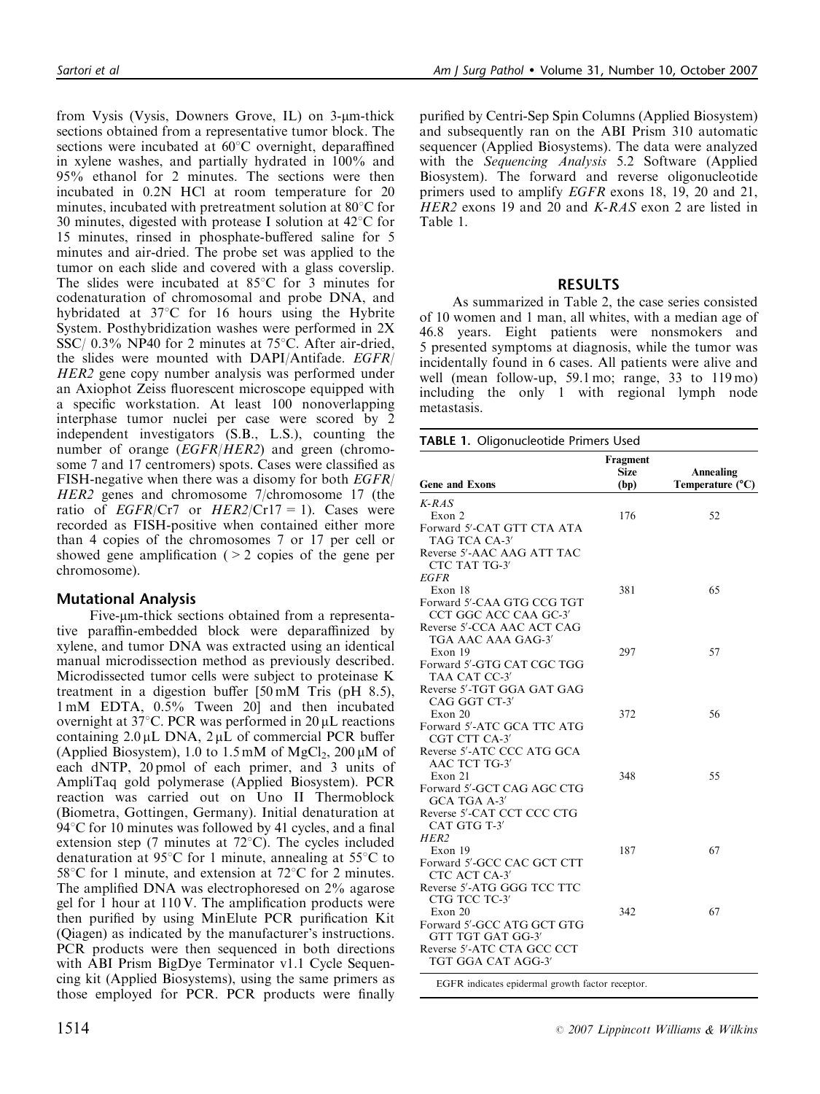from Vysis (Vysis, Downers Grove, IL) on  $3$ -µm-thick sections obtained from a representative tumor block. The sections were incubated at  $60^{\circ}$ C overnight, deparaffined in xylene washes, and partially hydrated in 100% and 95% ethanol for 2 minutes. The sections were then incubated in 0.2N HCl at room temperature for 20 minutes, incubated with pretreatment solution at  $80^{\circ}$ C for 30 minutes, digested with protease I solution at  $42^{\circ}$ C for 15 minutes, rinsed in phosphate-buffered saline for 5 minutes and air-dried. The probe set was applied to the tumor on each slide and covered with a glass coverslip. The slides were incubated at  $85^{\circ}$ C for 3 minutes for codenaturation of chromosomal and probe DNA, and hybridated at  $37^{\circ}$ C for 16 hours using the Hybrite System. Posthybridization washes were performed in 2X SSC/  $0.3\%$  NP40 for 2 minutes at 75 $\degree$ C. After air-dried, the slides were mounted with DAPI/Antifade. EGFR/ HER2 gene copy number analysis was performed under an Axiophot Zeiss fluorescent microscope equipped with a specific workstation. At least 100 nonoverlapping interphase tumor nuclei per case were scored by 2 independent investigators (S.B., L.S.), counting the number of orange (*EGFR*/*HER2*) and green (chromosome 7 and 17 centromers) spots. Cases were classified as FISH-negative when there was a disomy for both EGFR/ HER2 genes and chromosome 7/chromosome 17 (the ratio of  $EGFR/Cr7$  or  $HER2/Cr17 = 1$ ). Cases were recorded as FISH-positive when contained either more than 4 copies of the chromosomes 7 or 17 per cell or showed gene amplification  $(2 2 \text{ copies of the gene per})$ chromosome).

#### Mutational Analysis

Five-um-thick sections obtained from a representative paraffin-embedded block were deparaffinized by xylene, and tumor DNA was extracted using an identical manual microdissection method as previously described. Microdissected tumor cells were subject to proteinase K treatment in a digestion buffer [50 mM Tris (pH 8.5), 1 mM EDTA, 0.5% Tween 20] and then incubated overnight at 37 $\degree$ C. PCR was performed in 20 µL reactions containing  $2.0 \mu L$  DNA,  $2 \mu L$  of commercial PCR buffer (Applied Biosystem), 1.0 to 1.5 mM of MgCl<sub>2</sub>, 200  $\mu$ M of each dNTP, 20 pmol of each primer, and 3 units of AmpliTaq gold polymerase (Applied Biosystem). PCR reaction was carried out on Uno II Thermoblock (Biometra, Gottingen, Germany). Initial denaturation at  $94^{\circ}$ C for 10 minutes was followed by 41 cycles, and a final extension step (7 minutes at  $72^{\circ}$ C). The cycles included denaturation at 95 $\degree$ C for 1 minute, annealing at 55 $\degree$ C to 58 $\degree$ C for 1 minute, and extension at 72 $\degree$ C for 2 minutes. The amplified DNA was electrophoresed on 2% agarose gel for 1 hour at 110 V. The amplification products were then purified by using MinElute PCR purification Kit (Qiagen) as indicated by the manufacturer's instructions. PCR products were then sequenced in both directions with ABI Prism BigDye Terminator v1.1 Cycle Sequencing kit (Applied Biosystems), using the same primers as those employed for PCR. PCR products were finally

purified by Centri-Sep Spin Columns (Applied Biosystem) and subsequently ran on the ABI Prism 310 automatic sequencer (Applied Biosystems). The data were analyzed with the Sequencing Analysis 5.2 Software (Applied Biosystem). The forward and reverse oligonucleotide primers used to amplify EGFR exons 18, 19, 20 and 21, HER2 exons 19 and 20 and K-RAS exon 2 are listed in Table 1.

## RESULTS

As summarized in Table 2, the case series consisted of 10 women and 1 man, all whites, with a median age of 46.8 years. Eight patients were nonsmokers and 5 presented symptoms at diagnosis, while the tumor was incidentally found in 6 cases. All patients were alive and well (mean follow-up, 59.1 mo; range, 33 to 119 mo) including the only 1 with regional lymph node metastasis.

TABLE 1. Oligonucleotide Primers Used

| <b>Gene and Exons</b>                           | Fragment<br><b>Size</b><br>(bp) | <b>Annealing</b><br>Temperature $(^{\circ}C)$ |
|-------------------------------------------------|---------------------------------|-----------------------------------------------|
| $K-RAS$                                         |                                 |                                               |
| Exon 2                                          | 176                             | 52                                            |
| Forward 5'-CAT GTT CTA ATA                      |                                 |                                               |
| TAG TCA CA-3'                                   |                                 |                                               |
| Reverse 5'-AAC AAG ATT TAC                      |                                 |                                               |
| CTC TAT TG-3'                                   |                                 |                                               |
| <b>EGFR</b>                                     |                                 |                                               |
| Exon 18                                         | 381                             | 65                                            |
| Forward 5'-CAA GTG CCG TGT                      |                                 |                                               |
| CCT GGC ACC CAA GC-3'                           |                                 |                                               |
| Reverse 5'-CCA AAC ACT CAG                      |                                 |                                               |
| TGA AAC AAA GAG-3'                              |                                 |                                               |
| Exon 19                                         | 297                             | 57                                            |
| Forward 5'-GTG CAT CGC TGG                      |                                 |                                               |
| TAA CAT CC-3'<br>Reverse 5'-TGT GGA GAT GAG     |                                 |                                               |
| CAG GGT CT-3'                                   |                                 |                                               |
| Exon 20                                         | 372                             | 56                                            |
| Forward 5'-ATC GCA TTC ATG                      |                                 |                                               |
| CGT CTT CA-3'                                   |                                 |                                               |
| Reverse 5'-ATC CCC ATG GCA                      |                                 |                                               |
| AAC TCT TG-3'                                   |                                 |                                               |
| Exon 21                                         | 348                             | 55                                            |
| Forward 5'-GCT CAG AGC CTG                      |                                 |                                               |
| GCA TGA A-3'                                    |                                 |                                               |
| Reverse 5'-CAT CCT CCC CTG                      |                                 |                                               |
| CAT GTG T-3'                                    |                                 |                                               |
| HER <sub>2</sub>                                |                                 |                                               |
| Exon 19                                         | 187                             | 67                                            |
| Forward 5'-GCC CAC GCT CTT                      |                                 |                                               |
| CTC ACT CA-3'                                   |                                 |                                               |
| Reverse 5'-ATG GGG TCC TTC                      |                                 |                                               |
| CTG TCC TC-3'                                   |                                 |                                               |
| Exon 20                                         | 342                             | 67                                            |
| Forward 5'-GCC ATG GCT GTG<br>GTT TGT GAT GG-3' |                                 |                                               |
| Reverse 5'-ATC CTA GCC CCT                      |                                 |                                               |
| TGT GGA CAT AGG-3'                              |                                 |                                               |
|                                                 |                                 |                                               |

EGFR indicates epidermal growth factor receptor.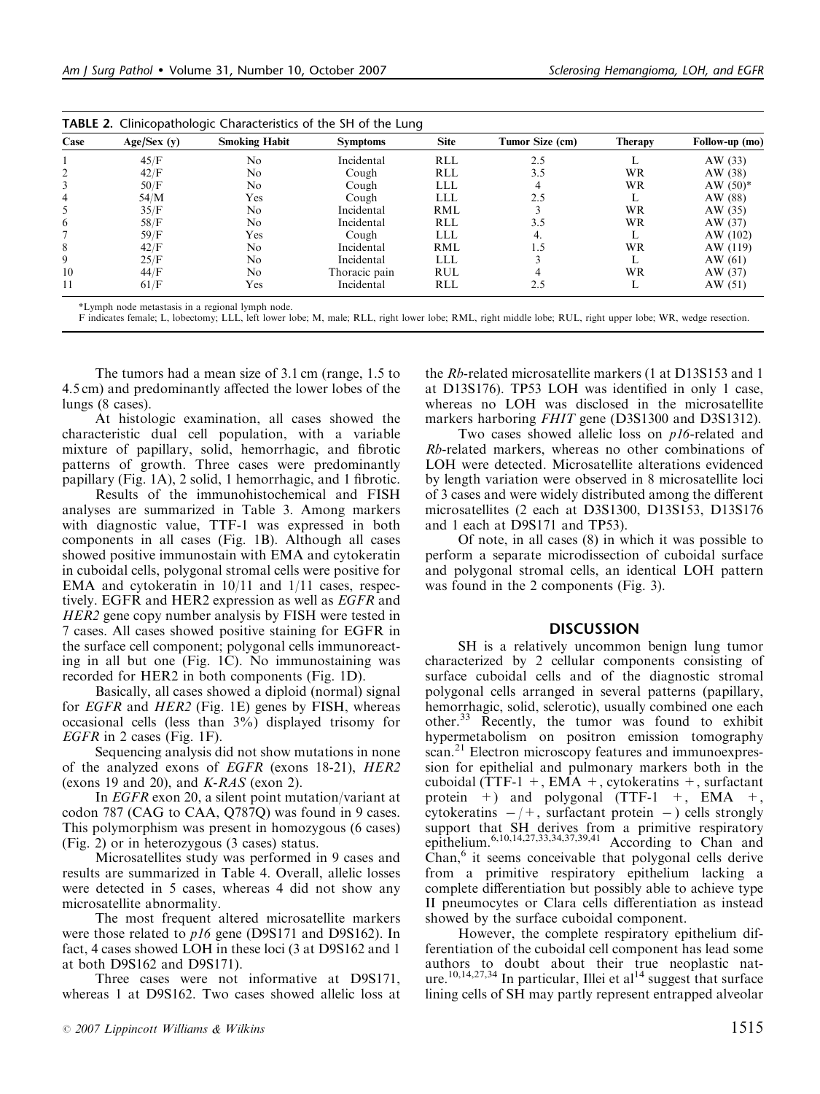| Case | Age/Sex(y) | <b>Smoking Habit</b> | <b>Symptoms</b> | <b>Site</b> | Tumor Size (cm) | <b>Therapy</b> | Follow-up (mo) |
|------|------------|----------------------|-----------------|-------------|-----------------|----------------|----------------|
|      | 45/F       | No                   | Incidental      | <b>RLL</b>  | 2.5             |                | AW $(33)$      |
|      | 42/F       | No                   | Cough           | <b>RLL</b>  | 3.5             | WR             | AW (38)        |
|      | 50/F       | No                   | Cough           | LLL         |                 | WR             | AW $(50)^*$    |
| 4    | 54/M       | Yes                  | Cough           | LLL         | 2.5             |                | AW (88)        |
|      | 35/F       | No                   | Incidental      | RML         |                 | WR             | AW $(35)$      |
| 6    | 58/F       | No                   | Incidental      | <b>RLL</b>  | 3.5             | WR             | AW (37)        |
|      | 59/F       | Yes                  | Cough           | <b>LLL</b>  | 4.              |                | AW (102)       |
| 8    | 42/F       | No                   | Incidental      | RML         | 1.5             | WR             | AW (119)       |
| 9    | 25/F       | No                   | Incidental      | LLL         |                 |                | AW $(61)$      |
| 10   | 44/F       | No                   | Thoracic pain   | <b>RUL</b>  |                 | WR             | AW $(37)$      |
| 11   | 61/F       | Yes                  | Incidental      | <b>RLL</b>  | 2.5             |                | AW $(51)$      |

TABLE 2. Clinicopathologic Characteristics of the SH of the Lung

\*Lymph node metastasis in a regional lymph node.

F indicates female; L, lobectomy; LLL, left lower lobe; M, male; RLL, right lower lobe; RML, right middle lobe; RUL, right upper lobe; WR, wedge resection.

The tumors had a mean size of 3.1 cm (range, 1.5 to 4.5 cm) and predominantly affected the lower lobes of the lungs (8 cases).

At histologic examination, all cases showed the characteristic dual cell population, with a variable mixture of papillary, solid, hemorrhagic, and fibrotic patterns of growth. Three cases were predominantly papillary (Fig. 1A), 2 solid, 1 hemorrhagic, and 1 fibrotic.

Results of the immunohistochemical and FISH analyses are summarized in Table 3. Among markers with diagnostic value, TTF-1 was expressed in both components in all cases (Fig. 1B). Although all cases showed positive immunostain with EMA and cytokeratin in cuboidal cells, polygonal stromal cells were positive for EMA and cytokeratin in 10/11 and 1/11 cases, respectively. EGFR and HER2 expression as well as *EGFR* and HER2 gene copy number analysis by FISH were tested in 7 cases. All cases showed positive staining for EGFR in the surface cell component; polygonal cells immunoreacting in all but one (Fig. 1C). No immunostaining was recorded for HER2 in both components (Fig. 1D).

Basically, all cases showed a diploid (normal) signal for *EGFR* and *HER2* (Fig. 1E) genes by FISH, whereas occasional cells (less than 3%) displayed trisomy for EGFR in 2 cases (Fig. 1F).

Sequencing analysis did not show mutations in none of the analyzed exons of EGFR (exons 18-21), HER2 (exons 19 and 20), and  $K-RAS$  (exon 2).

In EGFR exon 20, a silent point mutation/variant at codon 787 (CAG to CAA, Q787Q) was found in 9 cases. This polymorphism was present in homozygous (6 cases) (Fig. 2) or in heterozygous (3 cases) status.

Microsatellites study was performed in 9 cases and results are summarized in Table 4. Overall, allelic losses were detected in 5 cases, whereas 4 did not show any microsatellite abnormality.

The most frequent altered microsatellite markers were those related to *p16* gene (D9S171 and D9S162). In fact, 4 cases showed LOH in these loci (3 at D9S162 and 1 at both D9S162 and D9S171).

Three cases were not informative at D9S171, whereas 1 at D9S162. Two cases showed allelic loss at the Rb-related microsatellite markers (1 at D13S153 and 1 at D13S176). TP53 LOH was identified in only 1 case, whereas no LOH was disclosed in the microsatellite markers harboring *FHIT* gene (D3S1300 and D3S1312).

Two cases showed allelic loss on *p16*-related and Rb-related markers, whereas no other combinations of LOH were detected. Microsatellite alterations evidenced by length variation were observed in 8 microsatellite loci of 3 cases and were widely distributed among the different microsatellites (2 each at D3S1300, D13S153, D13S176 and 1 each at D9S171 and TP53).

Of note, in all cases (8) in which it was possible to perform a separate microdissection of cuboidal surface and polygonal stromal cells, an identical LOH pattern was found in the 2 components (Fig. 3).

#### **DISCUSSION**

SH is a relatively uncommon benign lung tumor characterized by 2 cellular components consisting of surface cuboidal cells and of the diagnostic stromal polygonal cells arranged in several patterns (papillary, hemorrhagic, solid, sclerotic), usually combined one each other.<sup>33</sup> Recently, the tumor was found to exhibit hypermetabolism on positron emission tomography scan.<sup>21</sup> Electron microscopy features and immunoexpression for epithelial and pulmonary markers both in the cuboidal (TTF-1 +, EMA +, cytokeratins +, surfactant protein  $+$ ) and polygonal (TTF-1  $+$ , EMA  $+$ , cytokeratins  $-/+$ , surfactant protein  $-)$  cells strongly support that SH derives from a primitive respiratory epithelium.6,10,14,27,33,34,37,39,41 According to Chan and Chan,<sup>6</sup> it seems conceivable that polygonal cells derive from a primitive respiratory epithelium lacking a complete differentiation but possibly able to achieve type II pneumocytes or Clara cells differentiation as instead showed by the surface cuboidal component.

However, the complete respiratory epithelium differentiation of the cuboidal cell component has lead some authors to doubt about their true neoplastic nature.<sup>10,14,27,34</sup> In particular, Illei et al<sup>14</sup> suggest that surface lining cells of SH may partly represent entrapped alveolar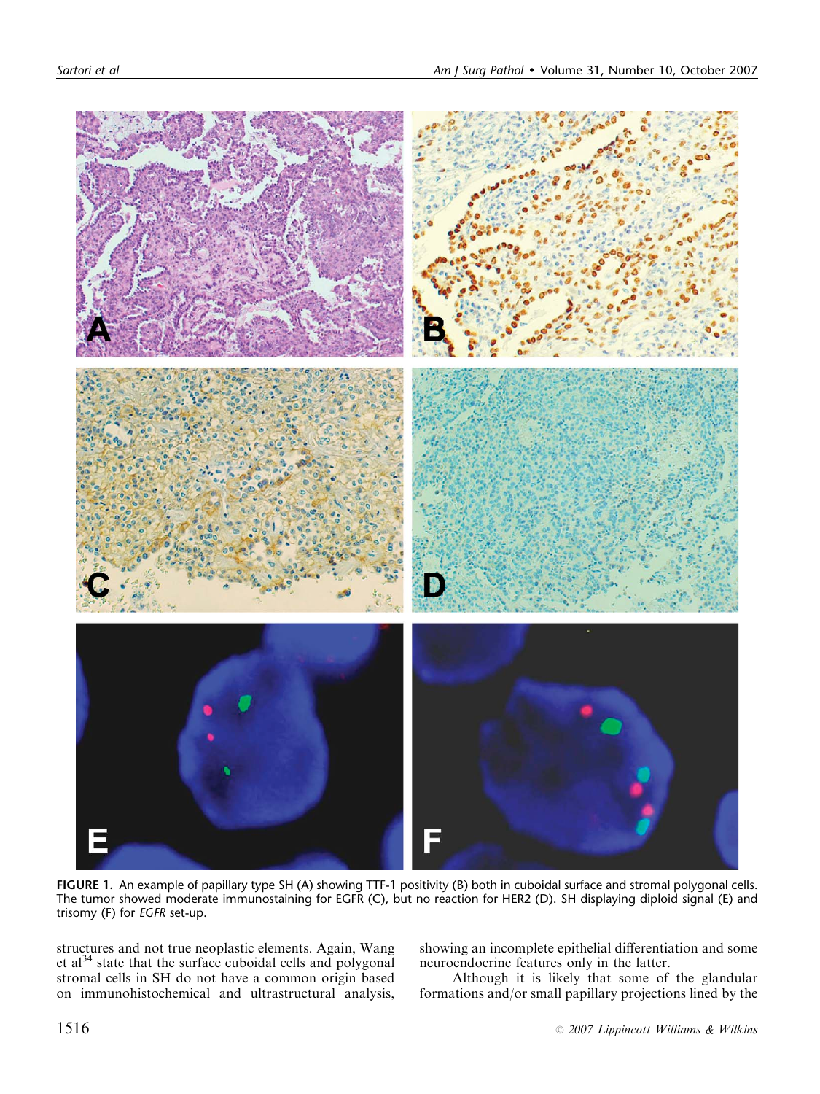

FIGURE 1. An example of papillary type SH (A) showing TTF-1 positivity (B) both in cuboidal surface and stromal polygonal cells. The tumor showed moderate immunostaining for EGFR (C), but no reaction for HER2 (D). SH displaying diploid signal (E) and trisomy (F) for EGFR set-up.

structures and not true neoplastic elements. Again, Wang et al<sup>34</sup> state that the surface cuboidal cells and polygonal stromal cells in SH do not have a common origin based on immunohistochemical and ultrastructural analysis,

showing an incomplete epithelial differentiation and some neuroendocrine features only in the latter.

Although it is likely that some of the glandular formations and/or small papillary projections lined by the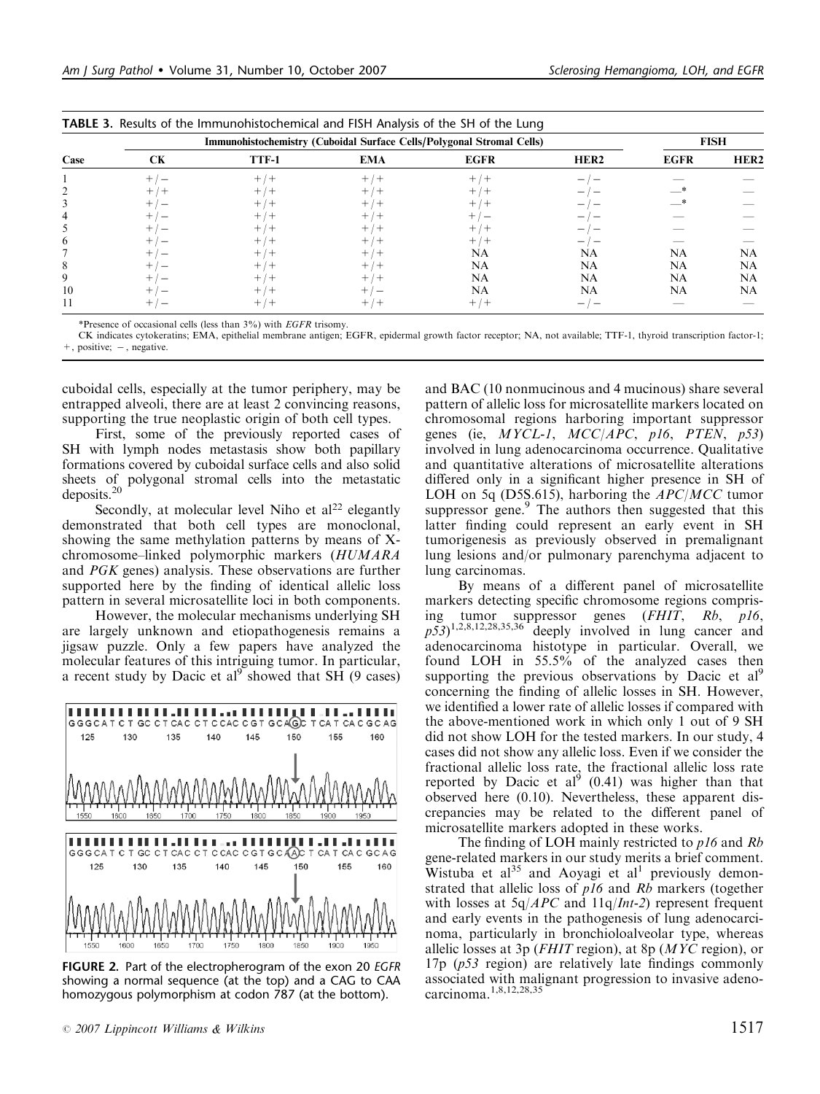|              | Immunohistochemistry (Cuboidal Surface Cells/Polygonal Stromal Cells) |       |            |             |                  |             | <b>FISH</b>      |  |
|--------------|-----------------------------------------------------------------------|-------|------------|-------------|------------------|-------------|------------------|--|
| Case         | CK                                                                    | TTF-1 | <b>EMA</b> | <b>EGFR</b> | HER <sub>2</sub> | <b>EGFR</b> | HER <sub>2</sub> |  |
|              |                                                                       |       | $+$<br>/ + |             |                  |             |                  |  |
|              | $^+$                                                                  |       | $+$ / $+$  |             |                  |             |                  |  |
|              |                                                                       |       | $^+$       |             |                  |             |                  |  |
|              |                                                                       |       |            |             |                  |             |                  |  |
|              |                                                                       |       | $^{+}$     |             |                  |             |                  |  |
| <sub>(</sub> |                                                                       |       | $+$        |             |                  |             |                  |  |
|              |                                                                       |       | $^+$       | NA          | NA               | NA          | NA               |  |
|              |                                                                       |       |            | NA          | NA               | NA          | NA               |  |
|              |                                                                       |       | $+$        | NA          | NA               | NA          | NA               |  |
| 10           |                                                                       |       |            | NA          | NA               | NA          | NA               |  |
|              |                                                                       |       |            | $^{+}$      |                  |             |                  |  |

TABLE 3. Results of the Immunohistochemical and FISH Analysis of the SH of the Lung

\*Presence of occasional cells (less than 3%) with EGFR trisomy.

CK indicates cytokeratins; EMA, epithelial membrane antigen; EGFR, epidermal growth factor receptor; NA, not available; TTF-1, thyroid transcription factor-1;  $+$ , positive;  $-$ , negative.

cuboidal cells, especially at the tumor periphery, may be entrapped alveoli, there are at least 2 convincing reasons, supporting the true neoplastic origin of both cell types.

First, some of the previously reported cases of SH with lymph nodes metastasis show both papillary formations covered by cuboidal surface cells and also solid sheets of polygonal stromal cells into the metastatic deposits.<sup>20</sup>

Secondly, at molecular level Niho et  $al<sup>22</sup>$  elegantly demonstrated that both cell types are monoclonal, showing the same methylation patterns by means of Xchromosome–linked polymorphic markers (HUMARA and PGK genes) analysis. These observations are further supported here by the finding of identical allelic loss pattern in several microsatellite loci in both components.

However, the molecular mechanisms underlying SH are largely unknown and etiopathogenesis remains a jigsaw puzzle. Only a few papers have analyzed the molecular features of this intriguing tumor. In particular, a recent study by Dacic et  $al^9$  showed that SH (9 cases)



FIGURE 2. Part of the electropherogram of the exon 20 EGFR showing a normal sequence (at the top) and a CAG to CAA homozygous polymorphism at codon 787 (at the bottom).

and BAC (10 nonmucinous and 4 mucinous) share several pattern of allelic loss for microsatellite markers located on chromosomal regions harboring important suppressor genes (ie, MYCL-1, MCC/APC, p16, PTEN, p53) involved in lung adenocarcinoma occurrence. Qualitative and quantitative alterations of microsatellite alterations differed only in a significant higher presence in SH of LOH on 5q (D5S.615), harboring the  $APC/MCC$  tumor suppressor gene.<sup>9</sup> The authors then suggested that this latter finding could represent an early event in SH tumorigenesis as previously observed in premalignant lung lesions and/or pulmonary parenchyma adjacent to lung carcinomas.

By means of a different panel of microsatellite markers detecting specific chromosome regions comprising tumor suppressor genes (FHIT, Rb, p16,  $p\overline{53})^{1,2,8,12,28,35,36}$  deeply involved in lung cancer and adenocarcinoma histotype in particular. Overall, we found LOH in 55.5% of the analyzed cases then supporting the previous observations by Dacic et  $al^9$ concerning the finding of allelic losses in SH. However, we identified a lower rate of allelic losses if compared with the above-mentioned work in which only 1 out of 9 SH did not show LOH for the tested markers. In our study, 4 cases did not show any allelic loss. Even if we consider the fractional allelic loss rate, the fractional allelic loss rate reported by Dacic et al<sup>9</sup>  $(0.41)$  was higher than that observed here (0.10). Nevertheless, these apparent discrepancies may be related to the different panel of microsatellite markers adopted in these works.

The finding of LOH mainly restricted to  $p16$  and  $Rb$ gene-related markers in our study merits a brief comment. Wistuba et al<sup>35</sup> and Aoyagi et al<sup>1</sup> previously demonstrated that allelic loss of  $p16$  and  $Rb$  markers (together with losses at  $5q/APC$  and  $11q/Int-2$ ) represent frequent and early events in the pathogenesis of lung adenocarcinoma, particularly in bronchioloalveolar type, whereas allelic losses at 3p (FHIT region), at 8p (MYC region), or 17p (p53 region) are relatively late findings commonly associated with malignant progression to invasive adenocarcinoma.1,8,12,28,35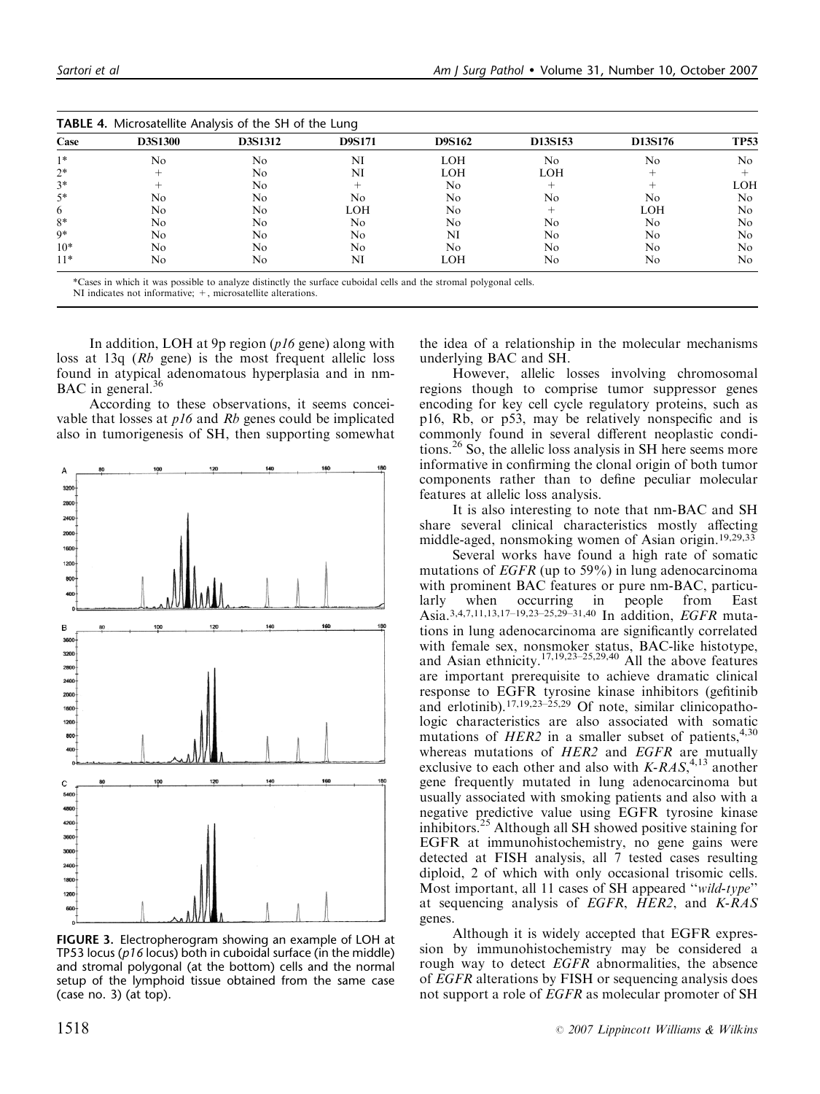| <b>TABLE 4.</b> Microsatellite Analysis of the SH of the Lung |                |         |               |               |            |            |             |
|---------------------------------------------------------------|----------------|---------|---------------|---------------|------------|------------|-------------|
| Case                                                          | <b>D3S1300</b> | D3S1312 | <b>D9S171</b> | <b>D9S162</b> | D13S153    | D13S176    | <b>TP53</b> |
| $1*$                                                          | No             | No      | NI            | <b>LOH</b>    | No         | No         | No          |
| $2*$                                                          |                | No      | NI            | <b>LOH</b>    | <b>LOH</b> |            |             |
| $3*$                                                          |                | No      |               | No            |            |            | <b>LOH</b>  |
| $5*$                                                          | No             | No      | No            | No            | No         | No.        | No          |
| 6                                                             | No             | No      | LOH           | No            |            | <b>LOH</b> | No          |
| $8*$                                                          | No             | No      | No            | No            | No         | No.        | No          |
| $9*$                                                          | No             | No.     | No            | NI            | No         | No         | No          |
| $10*$                                                         | No             | No      | No            | No            | No         | No         | No          |
| $11*$                                                         | No             | No      | NI            | LOH           | No         | No         | No          |

| <b>TABLE 4.</b> Microsatellite Analysis of the SH of the Lung |  |
|---------------------------------------------------------------|--|
|                                                               |  |

\*Cases in which it was possible to analyze distinctly the surface cuboidal cells and the stromal polygonal cells. NI indicates not informative:  $+$ , microsatellite alterations.

In addition, LOH at 9p region  $(p16 \text{ gene})$  along with loss at 13q (Rb gene) is the most frequent allelic loss found in atypical adenomatous hyperplasia and in nm-BAC in general.<sup>36</sup>

According to these observations, it seems conceivable that losses at p16 and Rb genes could be implicated also in tumorigenesis of SH, then supporting somewhat



FIGURE 3. Electropherogram showing an example of LOH at TP53 locus ( $p16$  locus) both in cuboidal surface (in the middle) and stromal polygonal (at the bottom) cells and the normal setup of the lymphoid tissue obtained from the same case (case no. 3) (at top).

the idea of a relationship in the molecular mechanisms underlying BAC and SH.

However, allelic losses involving chromosomal regions though to comprise tumor suppressor genes encoding for key cell cycle regulatory proteins, such as p16, Rb, or p53, may be relatively nonspecific and is commonly found in several different neoplastic conditions.26 So, the allelic loss analysis in SH here seems more informative in confirming the clonal origin of both tumor components rather than to define peculiar molecular features at allelic loss analysis.

It is also interesting to note that nm-BAC and SH share several clinical characteristics mostly affecting middle-aged, nonsmoking women of Asian origin.19,29,33

Several works have found a high rate of somatic mutations of EGFR (up to 59%) in lung adenocarcinoma with prominent BAC features or pure nm-BAC, particularly when occurring in people from East Asia.3,4,7,11,13,17–19,23–25,29–31,40 In addition, EGFR mutations in lung adenocarcinoma are significantly correlated with female sex, nonsmoker status, BAC-like histotype, and Asian ethnicity.17,19,23–25,29,40 All the above features are important prerequisite to achieve dramatic clinical response to EGFR tyrosine kinase inhibitors (gefitinib and erlotinib).<sup>17,19,23–25,29</sup> Of note, similar clinicopathologic characteristics are also associated with somatic mutations of  $HER2$  in a smaller subset of patients,<sup>4,30</sup> whereas mutations of HER2 and EGFR are mutually exclusive to each other and also with  $K-RAS$ ,<sup>4,13</sup> another gene frequently mutated in lung adenocarcinoma but usually associated with smoking patients and also with a negative predictive value using EGFR tyrosine kinase inhibitors.<sup>25</sup> Although all SH showed positive staining for EGFR at immunohistochemistry, no gene gains were detected at FISH analysis, all 7 tested cases resulting diploid, 2 of which with only occasional trisomic cells. Most important, all 11 cases of SH appeared ''wild-type'' at sequencing analysis of EGFR,  $HER2$ , and  $K-RAS$ genes.

Although it is widely accepted that EGFR expression by immunohistochemistry may be considered a rough way to detect EGFR abnormalities, the absence of EGFR alterations by FISH or sequencing analysis does not support a role of EGFR as molecular promoter of SH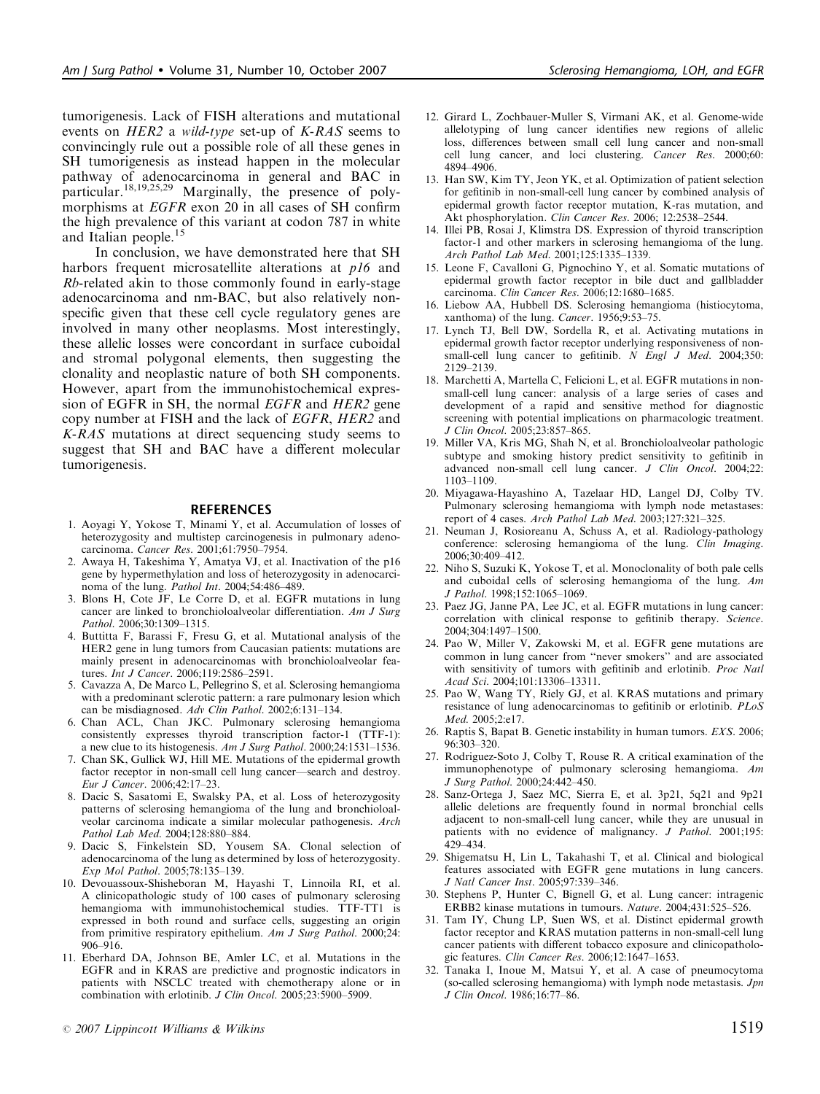tumorigenesis. Lack of FISH alterations and mutational events on HER2 a wild-type set-up of K-RAS seems to convincingly rule out a possible role of all these genes in SH tumorigenesis as instead happen in the molecular pathway of adenocarcinoma in general and BAC in particular.18,19,25,29 Marginally, the presence of polymorphisms at EGFR exon 20 in all cases of SH confirm the high prevalence of this variant at codon 787 in white and Italian people.<sup>15</sup>

In conclusion, we have demonstrated here that SH harbors frequent microsatellite alterations at p16 and Rb-related akin to those commonly found in early-stage adenocarcinoma and nm-BAC, but also relatively nonspecific given that these cell cycle regulatory genes are involved in many other neoplasms. Most interestingly, these allelic losses were concordant in surface cuboidal and stromal polygonal elements, then suggesting the clonality and neoplastic nature of both SH components. However, apart from the immunohistochemical expression of EGFR in SH, the normal *EGFR* and *HER2* gene copy number at FISH and the lack of EGFR, HER2 and K-RAS mutations at direct sequencing study seems to suggest that SH and BAC have a different molecular tumorigenesis.

#### **REFERENCES**

- 1. Aoyagi Y, Yokose T, Minami Y, et al. Accumulation of losses of heterozygosity and multistep carcinogenesis in pulmonary adenocarcinoma. Cancer Res. 2001;61:7950–7954.
- 2. Awaya H, Takeshima Y, Amatya VJ, et al. Inactivation of the p16 gene by hypermethylation and loss of heterozygosity in adenocarcinoma of the lung. Pathol Int. 2004;54:486–489.
- 3. Blons H, Cote JF, Le Corre D, et al. EGFR mutations in lung cancer are linked to bronchioloalveolar differentiation. Am J Surg Pathol. 2006;30:1309–1315.
- 4. Buttitta F, Barassi F, Fresu G, et al. Mutational analysis of the HER2 gene in lung tumors from Caucasian patients: mutations are mainly present in adenocarcinomas with bronchioloalveolar features. Int J Cancer. 2006;119:2586–2591.
- 5. Cavazza A, De Marco L, Pellegrino S, et al. Sclerosing hemangioma with a predominant sclerotic pattern: a rare pulmonary lesion which can be misdiagnosed. Adv Clin Pathol. 2002;6:131-134.
- 6. Chan ACL, Chan JKC. Pulmonary sclerosing hemangioma consistently expresses thyroid transcription factor-1 (TTF-1): a new clue to its histogenesis. Am J Surg Pathol. 2000;24:1531–1536.
- 7. Chan SK, Gullick WJ, Hill ME. Mutations of the epidermal growth factor receptor in non-small cell lung cancer—search and destroy. Eur J Cancer. 2006;42:17–23.
- 8. Dacic S, Sasatomi E, Swalsky PA, et al. Loss of heterozygosity patterns of sclerosing hemangioma of the lung and bronchioloalveolar carcinoma indicate a similar molecular pathogenesis. Arch Pathol Lab Med. 2004;128:880–884.
- 9. Dacic S, Finkelstein SD, Yousem SA. Clonal selection of adenocarcinoma of the lung as determined by loss of heterozygosity. Exp Mol Pathol. 2005;78:135–139.
- 10. Devouassoux-Shisheboran M, Hayashi T, Linnoila RI, et al. A clinicopathologic study of 100 cases of pulmonary sclerosing hemangioma with immunohistochemical studies. TTF-TT1 is expressed in both round and surface cells, suggesting an origin from primitive respiratory epithelium. Am J Surg Pathol. 2000;24:  $906 - 916$ .
- 11. Eberhard DA, Johnson BE, Amler LC, et al. Mutations in the EGFR and in KRAS are predictive and prognostic indicators in patients with NSCLC treated with chemotherapy alone or in combination with erlotinib. J Clin Oncol. 2005;23:5900–5909.
- 
- 12. Girard L, Zochbauer-Muller S, Virmani AK, et al. Genome-wide allelotyping of lung cancer identifies new regions of allelic loss, differences between small cell lung cancer and non-small cell lung cancer, and loci clustering. Cancer Res. 2000;60: 4894–4906.
- 13. Han SW, Kim TY, Jeon YK, et al. Optimization of patient selection for gefitinib in non-small-cell lung cancer by combined analysis of epidermal growth factor receptor mutation, K-ras mutation, and Akt phosphorylation. Clin Cancer Res. 2006; 12:2538–2544.
- 14. Illei PB, Rosai J, Klimstra DS. Expression of thyroid transcription factor-1 and other markers in sclerosing hemangioma of the lung. Arch Pathol Lab Med. 2001;125:1335–1339.
- 15. Leone F, Cavalloni G, Pignochino Y, et al. Somatic mutations of epidermal growth factor receptor in bile duct and gallbladder carcinoma. Clin Cancer Res. 2006;12:1680–1685.
- 16. Liebow AA, Hubbell DS. Sclerosing hemangioma (histiocytoma, xanthoma) of the lung. Cancer. 1956;9:53–75.
- 17. Lynch TJ, Bell DW, Sordella R, et al. Activating mutations in epidermal growth factor receptor underlying responsiveness of nonsmall-cell lung cancer to gefitinib. N Engl J Med. 2004;350: 2129–2139.
- 18. Marchetti A, Martella C, Felicioni L, et al. EGFR mutations in nonsmall-cell lung cancer: analysis of a large series of cases and development of a rapid and sensitive method for diagnostic screening with potential implications on pharmacologic treatment. J Clin Oncol. 2005;23:857–865.
- 19. Miller VA, Kris MG, Shah N, et al. Bronchioloalveolar pathologic subtype and smoking history predict sensitivity to gefitinib in advanced non-small cell lung cancer. J Clin Oncol. 2004;22: 1103–1109.
- 20. Miyagawa-Hayashino A, Tazelaar HD, Langel DJ, Colby TV. Pulmonary sclerosing hemangioma with lymph node metastases: report of 4 cases. Arch Pathol Lab Med. 2003;127:321-325.
- 21. Neuman J, Rosioreanu A, Schuss A, et al. Radiology-pathology conference: sclerosing hemangioma of the lung. Clin Imaging. 2006;30:409–412.
- 22. Niho S, Suzuki K, Yokose T, et al. Monoclonality of both pale cells and cuboidal cells of sclerosing hemangioma of the lung. Am J Pathol. 1998;152:1065–1069.
- 23. Paez JG, Janne PA, Lee JC, et al. EGFR mutations in lung cancer: correlation with clinical response to gefitinib therapy. Science. 2004;304:1497–1500.
- 24. Pao W, Miller V, Zakowski M, et al. EGFR gene mutations are common in lung cancer from ''never smokers'' and are associated with sensitivity of tumors with gefitinib and erlotinib. Proc Natl Acad Sci. 2004;101:13306–13311.
- 25. Pao W, Wang TY, Riely GJ, et al. KRAS mutations and primary resistance of lung adenocarcinomas to gefitinib or erlotinib. PLoS Med. 2005;2:e17.
- 26. Raptis S, Bapat B. Genetic instability in human tumors. EXS. 2006; 96:303–320.
- 27. Rodriguez-Soto J, Colby T, Rouse R. A critical examination of the immunophenotype of pulmonary sclerosing hemangioma. Am J Surg Pathol. 2000;24:442–450.
- 28. Sanz-Ortega J, Saez MC, Sierra E, et al. 3p21, 5q21 and 9p21 allelic deletions are frequently found in normal bronchial cells adjacent to non-small-cell lung cancer, while they are unusual in patients with no evidence of malignancy. J Pathol. 2001;195: 429–434.
- 29. Shigematsu H, Lin L, Takahashi T, et al. Clinical and biological features associated with EGFR gene mutations in lung cancers. J Natl Cancer Inst. 2005;97:339–346.
- 30. Stephens P, Hunter C, Bignell G, et al. Lung cancer: intragenic ERBB2 kinase mutations in tumours. Nature. 2004;431:525–526.
- 31. Tam IY, Chung LP, Suen WS, et al. Distinct epidermal growth factor receptor and KRAS mutation patterns in non-small-cell lung cancer patients with different tobacco exposure and clinicopathologic features. Clin Cancer Res. 2006;12:1647–1653.
- 32. Tanaka I, Inoue M, Matsui Y, et al. A case of pneumocytoma (so-called sclerosing hemangioma) with lymph node metastasis. *Jpn* J Clin Oncol. 1986;16:77–86.